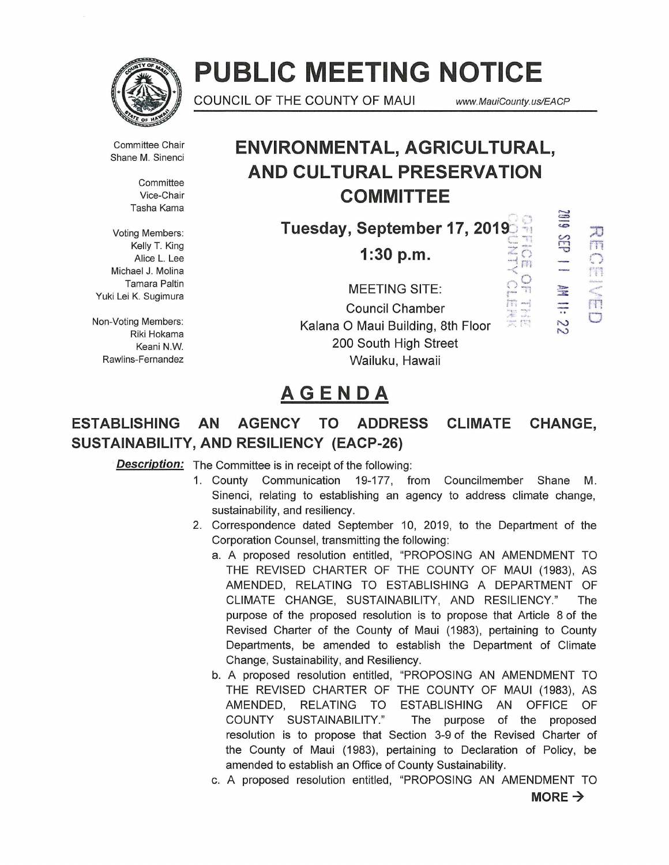

# **PUBLIC MEETING NOTICE**

COUNCIL OF THE COUNTY OF MAUI www.MauiCounty.us/EACP

• ~ ,. n

 $\mathbb{R}$ """'  $\frac{25}{2}$ 

;tJ m *C)*  ''f1 <sup>~</sup>' :t **Surveyor** rn .. ' **C** 

:1>- :::;: ·-..

N N

 $\frac{m}{2}$ 

 $\approx$   $\approx$ 

Ff<sub>i</sub>

Committee Chair Shane M. Sinenci

> **Committee** Vice-Chair Tasha Kama

Voting Members: Kelly T. King Alice L. Lee Michael J. Molina Tamara Paltin Yuki Lei K. Sugimura

Non-Voting Members: Riki Hokama Keani N.W. Rawlins-Fernandez

# **ENVIRONMENTAL, AGRICULTURAL, AND CULTURAL PRESERVATION COMMITTEE**

Tuesday, September 17, 2019<br><sup>1:30</sup> p.m.

**1:30 p.m.** 

MEETING SITE:  $\qquad \qquad \mathbb{C}$ Council Chamber Kalana 0 Maui Building, 8th Floor 200 South High Street Wailuku, Hawaii

# **AGENDA**

# **ESTABLISHING AN AGENCY TO ADDRESS CLIMATE CHANGE, SUSTAINABILITY, AND RESILIENCY (EACP-26)**

**Description:** The Committee is in receipt of the following:

- 1. County Communication 19-177, from Councilmember Shane M. Sinenci, relating to establishing an agency to address climate change, sustainability, and resiliency.
- 2. Correspondence dated September 10, 2019, to the Department of the Corporation Counsel, transmitting the following:
	- a. A proposed resolution entitled, "PROPOSING AN AMENDMENT TO THE REVISED CHARTER OF THE COUNTY OF MAUl (1983), AS AMENDED, RELATING TO ESTABLISHING A DEPARTMENT OF CLIMATE CHANGE, SUSTAINABILITY, AND RESILIENCY." The purpose of the proposed resolution is to propose that Article 8 of the Revised Charter of the County of Maui (1983), pertaining to County Departments, be amended to establish the Department of Climate Change, Sustainability, and Resiliency.
	- b. A proposed resolution entitled, "PROPOSING AN AMENDMENT TO THE REVISED CHARTER OF THE COUNTY OF MAUl (1983), AS AMENDED, RELATING TO ESTABLISHING AN OFFICE OF COUNTY SUSTAINABILITY." The purpose of the proposed resolution is to propose that Section 3-9 of the Revised Charter of the County of Maui (1983), pertaining to Declaration of Policy, be amended to establish an Office of County Sustainability.
	- c. A proposed resolution entitled, "PROPOSING AN AMENDMENT TO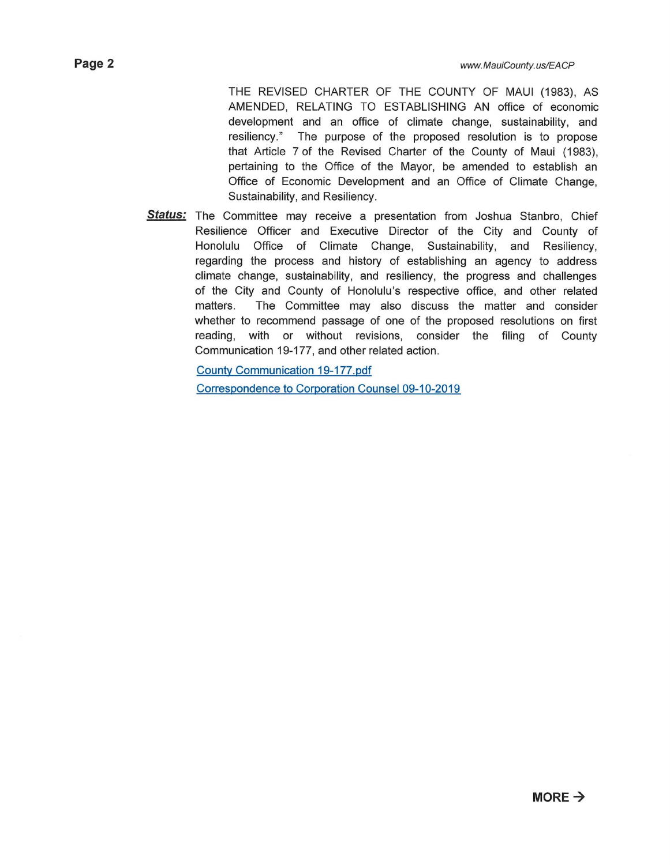THE REVISED CHARTER OF THE COUNTY OF MAUl (1983), AS AMENDED, RELATING TO ESTABLISHING AN office of economic development and an office of climate change, sustainability, and resiliency." The purpose of the proposed resolution is to propose that Article 7 of the Revised Charter of the County of Maui (1983), pertaining to the Office of the Mayor, be amended to establish an Office of Economic Development and an Office of Climate Change, Sustainability, and Resiliency.

**Status:** The Committee may receive a presentation from Joshua Stanbro, Chief Resilience Officer and Executive Director of the City and County of Honolulu Office of Climate Change, Sustainability, and Resiliency, regarding the process and history of establishing an agency to address climate change, sustainability, and resiliency, the progress and challenges of the City and County of Honolulu's respective office, and other related matters. The Committee may also discuss the matter and consider whether to recommend passage of one of the proposed resolutions on first reading, with or without revisions, consider the filing of County Communication 19-177, and other related action.

County Communication 19-177.pdf

Correspondence to Corporation Counsel 09-10-2019